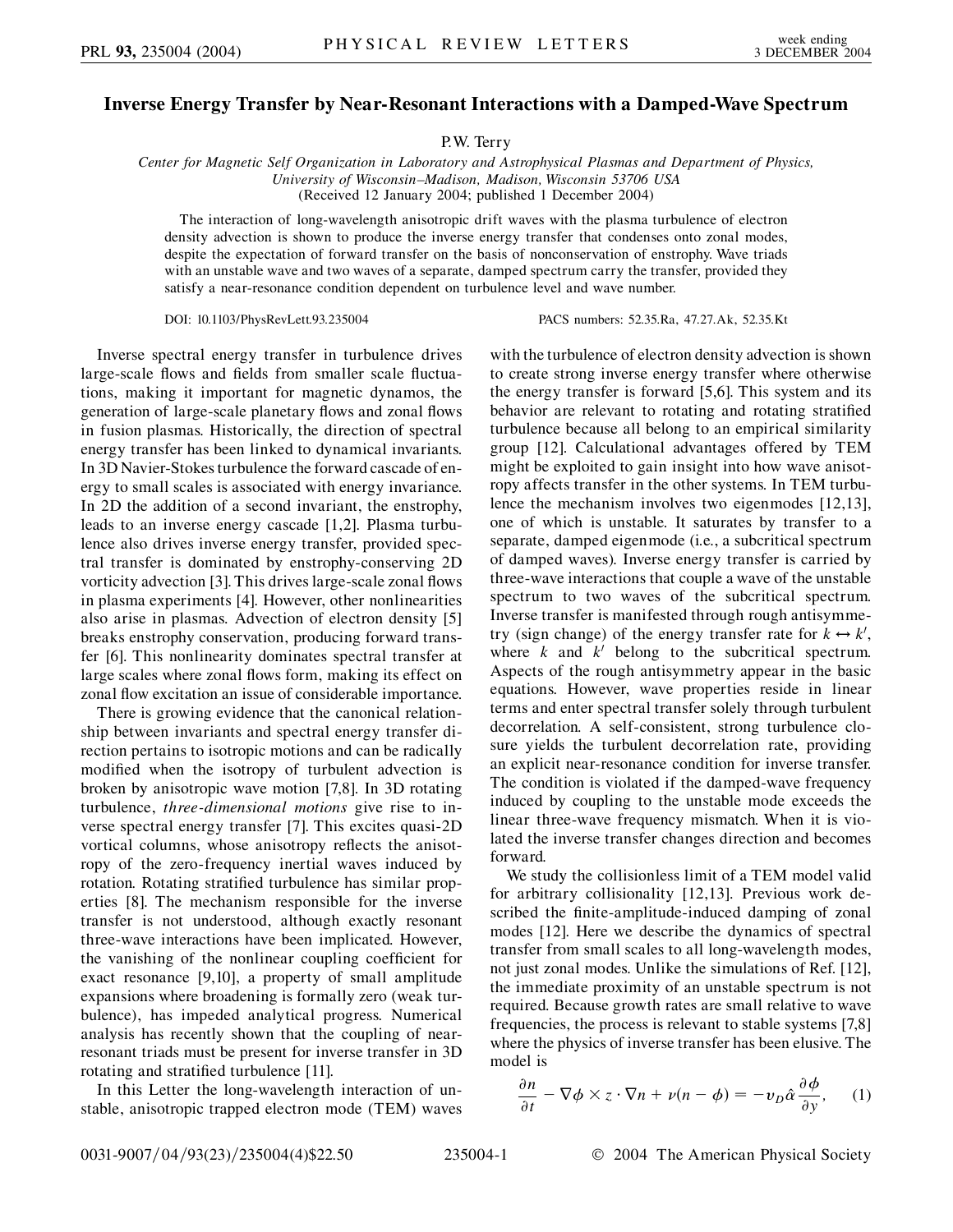## **Inverse Energy Transfer by Near-Resonant Interactions with a Damped-Wave Spectrum**

P.W. Terry

*Center for Magnetic Self Organization in Laboratory and Astrophysical Plasmas and Department of Physics, University of Wisconsin–Madison, Madison, Wisconsin 53706 USA* (Received 12 January 2004; published 1 December 2004)

The interaction of long-wavelength anisotropic drift waves with the plasma turbulence of electron density advection is shown to produce the inverse energy transfer that condenses onto zonal modes, despite the expectation of forward transfer on the basis of nonconservation of enstrophy. Wave triads with an unstable wave and two waves of a separate, damped spectrum carry the transfer, provided they satisfy a near-resonance condition dependent on turbulence level and wave number.

DOI: 10.1103/PhysRevLett.93.235004 PACS numbers: 52.35.Ra, 47.27.Ak, 52.35.Kt

Inverse spectral energy transfer in turbulence drives large-scale flows and fields from smaller scale fluctuations, making it important for magnetic dynamos, the generation of large-scale planetary flows and zonal flows in fusion plasmas. Historically, the direction of spectral energy transfer has been linked to dynamical invariants. In 3D Navier-Stokes turbulence the forward cascade of energy to small scales is associated with energy invariance. In 2D the addition of a second invariant, the enstrophy, leads to an inverse energy cascade [1,2]. Plasma turbulence also drives inverse energy transfer, provided spectral transfer is dominated by enstrophy-conserving 2D vorticity advection [3]. This drives large-scale zonal flows in plasma experiments [4]. However, other nonlinearities also arise in plasmas. Advection of electron density [5] breaks enstrophy conservation, producing forward transfer [6]. This nonlinearity dominates spectral transfer at large scales where zonal flows form, making its effect on zonal flow excitation an issue of considerable importance.

There is growing evidence that the canonical relationship between invariants and spectral energy transfer direction pertains to isotropic motions and can be radically modified when the isotropy of turbulent advection is broken by anisotropic wave motion [7,8]. In 3D rotating turbulence, *three-dimensional motions* give rise to inverse spectral energy transfer [7]. This excites quasi-2D vortical columns, whose anisotropy reflects the anisotropy of the zero-frequency inertial waves induced by rotation. Rotating stratified turbulence has similar properties [8]. The mechanism responsible for the inverse transfer is not understood, although exactly resonant three-wave interactions have been implicated. However, the vanishing of the nonlinear coupling coefficient for exact resonance [9,10], a property of small amplitude expansions where broadening is formally zero (weak turbulence), has impeded analytical progress. Numerical analysis has recently shown that the coupling of nearresonant triads must be present for inverse transfer in 3D rotating and stratified turbulence [11].

In this Letter the long-wavelength interaction of unstable, anisotropic trapped electron mode (TEM) waves with the turbulence of electron density advection is shown to create strong inverse energy transfer where otherwise the energy transfer is forward [5,6]. This system and its behavior are relevant to rotating and rotating stratified turbulence because all belong to an empirical similarity group [12]. Calculational advantages offered by TEM might be exploited to gain insight into how wave anisotropy affects transfer in the other systems. In TEM turbulence the mechanism involves two eigenmodes [12,13], one of which is unstable. It saturates by transfer to a separate, damped eigenmode (i.e., a subcritical spectrum of damped waves). Inverse energy transfer is carried by three-wave interactions that couple a wave of the unstable spectrum to two waves of the subcritical spectrum. Inverse transfer is manifested through rough antisymmetry (sign change) of the energy transfer rate for  $k \leftrightarrow k'$ , where  $k$  and  $k'$  belong to the subcritical spectrum. Aspects of the rough antisymmetry appear in the basic equations. However, wave properties reside in linear terms and enter spectral transfer solely through turbulent decorrelation. A self-consistent, strong turbulence closure yields the turbulent decorrelation rate, providing an explicit near-resonance condition for inverse transfer. The condition is violated if the damped-wave frequency induced by coupling to the unstable mode exceeds the linear three-wave frequency mismatch. When it is violated the inverse transfer changes direction and becomes forward.

We study the collisionless limit of a TEM model valid for arbitrary collisionality [12,13]. Previous work described the finite-amplitude-induced damping of zonal modes [12]. Here we describe the dynamics of spectral transfer from small scales to all long-wavelength modes, not just zonal modes. Unlike the simulations of Ref. [12], the immediate proximity of an unstable spectrum is not required. Because growth rates are small relative to wave frequencies, the process is relevant to stable systems [7,8] where the physics of inverse transfer has been elusive. The model is

$$
\frac{\partial n}{\partial t} - \nabla \phi \times z \cdot \nabla n + \nu (n - \phi) = -\nu_D \hat{\alpha} \frac{\partial \phi}{\partial y}, \quad (1)
$$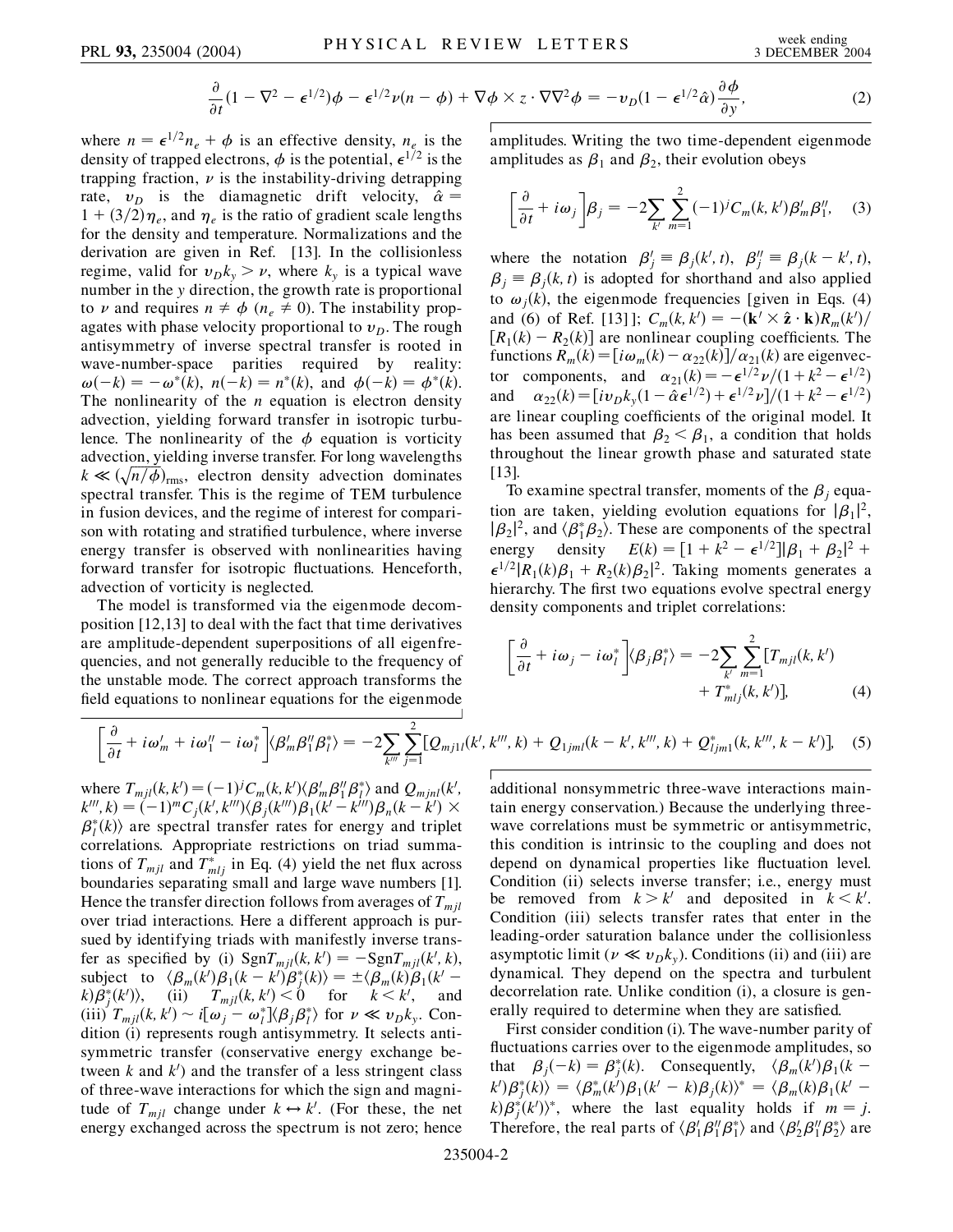$$
\frac{\partial}{\partial t}(1 - \nabla^2 - \epsilon^{1/2})\phi - \epsilon^{1/2}\nu(n - \phi) + \nabla\phi \times z \cdot \nabla\nabla^2\phi = -\nu_D(1 - \epsilon^{1/2}\hat{\alpha})\frac{\partial\phi}{\partial y},\tag{2}
$$

where  $n = \epsilon^{1/2} n_e + \phi$  is an effective density,  $n_e$  is the density of trapped electrons,  $\phi$  is the potential,  $\epsilon^{1/2}$  is the trapping fraction,  $\nu$  is the instability-driving detrapping rate,  $v_D$  is the diamagnetic drift velocity,  $\hat{\alpha} =$  $1 + (3/2)\eta_e$ , and  $\eta_e$  is the ratio of gradient scale lengths for the density and temperature. Normalizations and the derivation are given in Ref. [13]. In the collisionless regime, valid for  $v_D k_y > v$ , where  $k_y$  is a typical wave number in the *y* direction, the growth rate is proportional to *v* and requires  $n \neq \phi$  ( $n_e \neq 0$ ). The instability propagates with phase velocity proportional to  $v<sub>D</sub>$ . The rough antisymmetry of inverse spectral transfer is rooted in wave-number-space parities required by reality:  $\omega(-k) = -\omega^*(k), \quad n(-k) = n^*(k), \text{ and } \phi(-k) = \phi^*(k).$ The nonlinearity of the *n* equation is electron density advection, yielding forward transfer in isotropic turbulence. The nonlinearity of the  $\phi$  equation is vorticity advection, yielding inverse transfer. For long wavelengths  $k \ll (\sqrt{n/\phi})_{\text{rms}}$ , electron density advection dominates spectral transfer. This is the regime of TEM turbulence in fusion devices, and the regime of interest for comparison with rotating and stratified turbulence, where inverse energy transfer is observed with nonlinearities having forward transfer for isotropic fluctuations. Henceforth, advection of vorticity is neglected.

The model is transformed via the eigenmode decomposition [12,13] to deal with the fact that time derivatives are amplitude-dependent superpositions of all eigenfrequencies, and not generally reducible to the frequency of the unstable mode. The correct approach transforms the field equations to nonlinear equations for the eigenmode amplitudes. Writing the two time-dependent eigenmode amplitudes as  $\beta_1$  and  $\beta_2$ , their evolution obeys

$$
\left[\frac{\partial}{\partial t} + i\omega_j\right]\beta_j = -2\sum_{k'}\sum_{m=1}^2(-1)^jC_m(k,k')\beta'_m\beta''_1,\quad(3)
$$

where the notation  $\beta'_j \equiv \beta_j(k', t)$ ,  $\beta''_j \equiv \beta_j(k - k', t)$ ,  $\beta_i \equiv \beta_i(k, t)$  is adopted for shorthand and also applied to  $\omega_i(k)$ , the eigenmode frequencies [given in Eqs. (4) and (6) of Ref. [13] ];  $C_m(k, k') = -(\mathbf{k}' \times \hat{\mathbf{z}} \cdot \mathbf{k})R_m(k')/2$  $[R_1(k) - R_2(k)]$  are nonlinear coupling coefficients. The functions  $R_m(k) = [i\omega_m(k) - \alpha_{22}(k)]/\alpha_{21}(k)$  are eigenvector components, and  $\alpha_{21}(k) = -\epsilon^{1/2} \nu / (1 + k^2 - \epsilon^{1/2})$ and  $\alpha_{22}(k) = [iv_D k_y(1 - \hat{\alpha} \epsilon^{1/2}) + \epsilon^{1/2} \nu]/(1 + k^2 - \epsilon^{1/2})$ are linear coupling coefficients of the original model. It has been assumed that  $\beta_2 < \beta_1$ , a condition that holds throughout the linear growth phase and saturated state [13].

To examine spectral transfer, moments of the  $\beta_i$  equation are taken, yielding evolution equations for  $|\beta_1|^2$ ,  $|\beta_2|^2$ , and  $\langle \beta_1^* \beta_2 \rangle$ . These are components of the spectral energy density  $E(k) = [1 + k^2 - \epsilon^{1/2}] |\beta_1 + \beta_2|^2 +$  $\epsilon^{1/2} |R_1(k)\beta_1 + R_2(k)\beta_2|^2$ . Taking moments generates a hierarchy. The first two equations evolve spectral energy density components and triplet correlations:

$$
\left[\frac{\partial}{\partial t} + i\omega_j - i\omega_l^*\right] \langle \beta_j \beta_l^* \rangle = -2 \sum_{k'} \sum_{m=1}^2 [T_{mjl}(k, k') + T_{mlj}^*(k, k')] \tag{4}
$$

$$
\left[\frac{\partial}{\partial t} + i\omega'_{m} + i\omega''_{1} - i\omega''_{l}\right] \langle \beta'_{m} \beta''_{1} \beta''_{l} \rangle = -2 \sum_{k'''} \sum_{j=1}^{2} [Q_{mj1l}(k', k''', k) + Q_{1jml}(k - k', k''', k) + Q^{*}_{ljm1}(k, k''', k - k')] \tag{5}
$$

where  $T_{mjl}(k, k') = (-1)^j C_m(k, k') \langle \beta'_m \beta''_l \beta''_l \rangle$  and  $Q_{mjnl}(k', k')$  $k^{\prime\prime\prime}, k$ ) =  $(-1)^m C_j(k^{\prime}, k^{\prime\prime\prime}) \langle \beta_j(k^{\prime\prime\prime}) \beta_1(k^{\prime} - k^{\prime\prime\prime}) \beta_n(k - k^{\prime}) \times$  $\beta_l^*(k)$  are spectral transfer rates for energy and triplet correlations. Appropriate restrictions on triad summations of  $T_{mjl}$  and  $T_{mlj}^*$  in Eq. (4) yield the net flux across boundaries separating small and large wave numbers [1]. Hence the transfer direction follows from averages of  $T_{mil}$ over triad interactions. Here a different approach is pursued by identifying triads with manifestly inverse transfer as specified by (i)  $\text{Sgn}T_{mjl}(k, k') = -\text{Sgn}T_{mjl}(k', k),$ subject to  $\langle \beta_m(k')\beta_1(k-k')\beta_j^*(k)\rangle = \pm \langle \beta_m(k)\beta_1(k')\beta_k(k')\rangle$  $f(k) \beta_j^*(k')$ , (ii)  $T_{mjl}(k, k') < 0$  for  $k < k'$ , and  $(iii)$   $T_{mjl}(k, k') \sim i[\omega_j - \omega_l^*] \langle \beta_j \beta_l^* \rangle$  for  $\nu \ll \nu_D k_y$ . Condition (i) represents rough antisymmetry. It selects antisymmetric transfer (conservative energy exchange between  $k$  and  $k'$ ) and the transfer of a less stringent class of three-wave interactions for which the sign and magnitude of  $T_{mjl}$  change under  $k \leftrightarrow k'$ . (For these, the net energy exchanged across the spectrum is not zero; hence additional nonsymmetric three-wave interactions maintain energy conservation.) Because the underlying threewave correlations must be symmetric or antisymmetric, this condition is intrinsic to the coupling and does not depend on dynamical properties like fluctuation level. Condition (ii) selects inverse transfer; i.e., energy must be removed from  $k > k'$  and deposited in  $k < k'$ . Condition (iii) selects transfer rates that enter in the leading-order saturation balance under the collisionless asymptotic limit ( $\nu \ll v_D k_v$ ). Conditions (ii) and (iii) are dynamical. They depend on the spectra and turbulent decorrelation rate. Unlike condition (i), a closure is generally required to determine when they are satisfied.

First consider condition (i). The wave-number parity of fluctuations carries over to the eigenmode amplitudes, so that  $\beta_j(-k) = \beta_j^*(k)$ . Consequently,  $\langle \beta_m(k')\beta_1(k - k')\rangle$  $\langle k \rangle \beta_j^*(k) \rangle = \langle \beta_m^*(k') \beta_1(k'-k) \beta_j(k) \rangle^* = \langle \beta_m(k) \beta_1(k'-k) \beta_k(k') \beta_k(k') \rangle$  $k(\beta_j^*(k'))^*$ , where the last equality holds if  $m = j$ . Therefore, the real parts of  $\langle \beta'_1 \beta''_1 \beta^*_1 \rangle$  and  $\langle \beta'_2 \beta''_1 \beta^*_2 \rangle$  are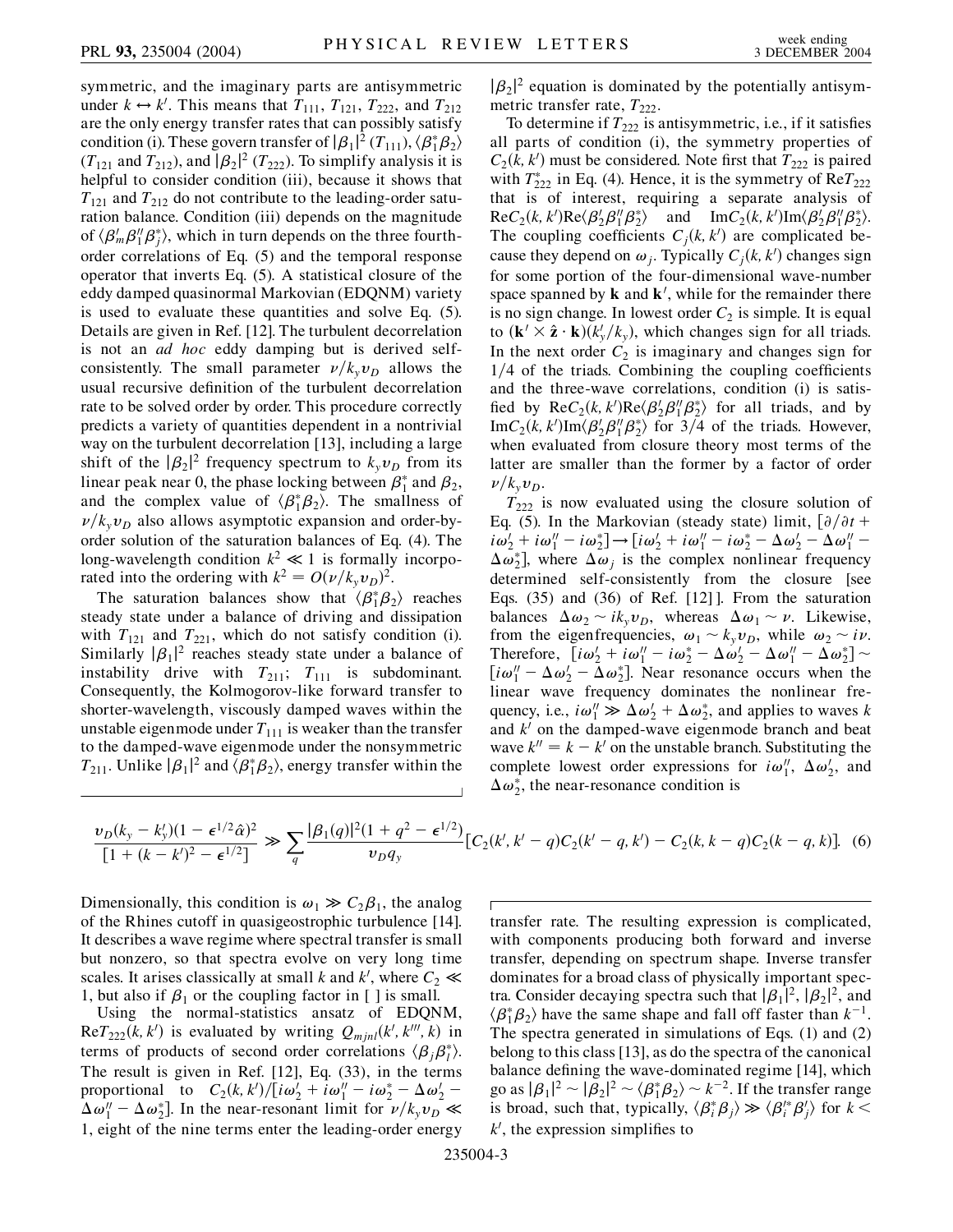symmetric, and the imaginary parts are antisymmetric under  $k \leftrightarrow k'$ . This means that  $T_{111}$ ,  $T_{121}$ ,  $T_{222}$ , and  $T_{212}$ are the only energy transfer rates that can possibly satisfy condition (i). These govern transfer of  $|\beta_1|^2$  ( $T_{111}$ ),  $\langle \beta_1^* \beta_2 \rangle$  $(T_{121}$  and  $T_{212}$ ), and  $|\beta_2|^2$   $(T_{222})$ . To simplify analysis it is helpful to consider condition (iii), because it shows that  $T_{121}$  and  $T_{212}$  do not contribute to the leading-order saturation balance. Condition (iii) depends on the magnitude of  $\langle \beta'_m \beta''_j \beta^*_j \rangle$ , which in turn depends on the three fourthorder correlations of Eq. (5) and the temporal response operator that inverts Eq. (5). A statistical closure of the eddy damped quasinormal Markovian (EDQNM) variety is used to evaluate these quantities and solve Eq. (5). Details are given in Ref. [12]. The turbulent decorrelation is not an *ad hoc* eddy damping but is derived selfconsistently. The small parameter  $\nu/k_yv_D$  allows the usual recursive definition of the turbulent decorrelation rate to be solved order by order. This procedure correctly predicts a variety of quantities dependent in a nontrivial way on the turbulent decorrelation [13], including a large shift of the  $|\beta_2|^2$  frequency spectrum to  $k_yv_D$  from its linear peak near 0, the phase locking between  $\beta_1^*$  and  $\beta_2$ , and the complex value of  $\langle \beta_1^* \beta_2 \rangle$ . The smallness of  $\nu/k_vv_D$  also allows asymptotic expansion and order-byorder solution of the saturation balances of Eq. (4). The long-wavelength condition  $k^2 \ll 1$  is formally incorporated into the ordering with  $k^2 = O(\nu/k_yv_D)^2$ .

The saturation balances show that  $\langle \beta_1^* \beta_2 \rangle$  reaches steady state under a balance of driving and dissipation with  $T_{121}$  and  $T_{221}$ , which do not satisfy condition (i). Similarly  $|\beta_1|^2$  reaches steady state under a balance of instability drive with  $T_{211}$ ;  $T_{111}$  is subdominant. Consequently, the Kolmogorov-like forward transfer to shorter-wavelength, viscously damped waves within the unstable eigenmode under  $T_{111}$  is weaker than the transfer to the damped-wave eigenmode under the nonsymmetric  $T_{211}$ . Unlike  $|\beta_1|^2$  and  $\langle \beta_1^* \beta_2 \rangle$ , energy transfer within the

 $|\beta_2|^2$  equation is dominated by the potentially antisymmetric transfer rate,  $T_{222}$ .

To determine if  $T_{222}$  is antisymmetric, i.e., if it satisfies all parts of condition (i), the symmetry properties of  $C_2(k, k')$  must be considered. Note first that  $T_{222}$  is paired with  $T_{222}^*$  in Eq. (4). Hence, it is the symmetry of  $ReT_{222}$ that is of interest, requiring a separate analysis of  $\text{Re}C_2(k, k')\text{Re}\langle\beta'_2\beta''_1\beta^*_2\rangle$  and  $\text{Im}C_2(k, k')\text{Im}\langle\beta'_2\beta''_1\beta^*_2\rangle$ . The coupling coefficients  $C_j(k, k')$  are complicated because they depend on  $\omega_j$ . Typically  $C_j(k, k')$  changes sign for some portion of the four-dimensional wave-number space spanned by  $\bf{k}$  and  $\bf{k}'$ , while for the remainder there is no sign change. In lowest order  $C_2$  is simple. It is equal to  $(\mathbf{k}' \times \hat{\mathbf{z}} \cdot \mathbf{k}) (k_y'/k_y)$ , which changes sign for all triads. In the next order  $C_2$  is imaginary and changes sign for 1/4 of the triads. Combining the coupling coefficients and the three-wave correlations, condition (i) is satisfied by  $\text{Re}C_2(k, k')\text{Re}\langle\beta'_2\beta''_1\beta^*_2\rangle$  for all triads, and by  $\text{Im}C_2(k, k')\text{Im}\langle\beta'_2\beta''_1\beta^*_2\rangle$  for  $3/4$  of the triads. However, when evaluated from closure theory most terms of the latter are smaller than the former by a factor of order  $\nu/k_v\nu_D$ .

 $T_{222}$  is now evaluated using the closure solution of Eq. (5). In the Markovian (steady state) limit,  $\left[\frac{\partial}{\partial t} + \frac{\partial}{\partial t}\right]$  $i\omega_2' + i\omega_1'' - i\omega_2^*$   $\rightarrow$   $[i\omega_2' + i\omega_1'' - i\omega_2^* - \Delta\omega_2' - \Delta\omega_1'' - i\omega_2^*$  $\Delta \omega_2^*$ ], where  $\Delta \omega_j$  is the complex nonlinear frequency determined self-consistently from the closure [see Eqs. (35) and (36) of Ref. [12] ]. From the saturation balances  $\Delta \omega_2 \sim i k_v \nu_D$ , whereas  $\Delta \omega_1 \sim \nu$ . Likewise, from the eigenfrequencies,  $\omega_1 \sim k_y v_D$ , while  $\omega_2 \sim i\nu$ . Therefore,  $[i\omega_2' + i\omega_1'' - i\omega_2^* - \Delta\omega_2' - \Delta\omega_1'' - \Delta\omega_2^*]$  $[i\omega_1'' - \Delta\omega_2' - \Delta\omega_2^*]$ . Near resonance occurs when the linear wave frequency dominates the nonlinear frequency, i.e.,  $i\omega_1'' \gg \Delta \omega_2' + \Delta \omega_2^*$ , and applies to waves *k* and  $k<sup>0</sup>$  on the damped-wave eigenmode branch and beat wave  $k'' = k - k'$  on the unstable branch. Substituting the complete lowest order expressions for  $i\omega_1^{\prime\prime}$ ,  $\Delta\omega_2^{\prime}$ , and  $\Delta \omega_2^*$ , the near-resonance condition is

$$
\frac{\nu_D(k_y - k_y')(1 - \epsilon^{1/2}\hat{\alpha})^2}{[1 + (k - k')^2 - \epsilon^{1/2}]} \gg \sum_q \frac{|\beta_1(q)|^2 (1 + q^2 - \epsilon^{1/2})}{\nu_D q_y} [C_2(k', k' - q)C_2(k' - q, k') - C_2(k, k - q)C_2(k - q, k)].
$$
 (6)

Dimensionally, this condition is  $\omega_1 \gg C_2 \beta_1$ , the analog of the Rhines cutoff in quasigeostrophic turbulence [14]. It describes a wave regime where spectral transfer is small but nonzero, so that spectra evolve on very long time scales. It arises classically at small *k* and *k'*, where  $C_2 \ll$ 1, but also if  $\beta_1$  or the coupling factor in [ ] is small.

Using the normal-statistics ansatz of EDQNM,  $\text{Re}T_{222}(k, k')$  is evaluated by writing  $Q_{mjnl}(k', k''', k)$  in terms of products of second order correlations  $\langle \beta_j \beta_l^* \rangle$ . The result is given in Ref. [12], Eq. (33), in the terms proportional to  $C_2(k, k')/[i\omega'_2 + i\omega''_1 - i\omega^*_2 - \Delta\omega'_2 \Delta \omega_1'' - \Delta \omega_2^*$ ]. In the near-resonant limit for  $\nu / k_y \nu_D \ll$ 1, eight of the nine terms enter the leading-order energy transfer rate. The resulting expression is complicated, with components producing both forward and inverse transfer, depending on spectrum shape. Inverse transfer dominates for a broad class of physically important spectra. Consider decaying spectra such that  $|\beta_1|^2$ ,  $|\beta_2|^2$ , and  $\langle \beta_1^* \beta_2 \rangle$  have the same shape and fall off faster than  $k^{-1}$ . The spectra generated in simulations of Eqs. (1) and (2) belong to this class [13], as do the spectra of the canonical balance defining the wave-dominated regime [14], which go as  $|\beta_1|^2 \sim |\beta_2|^2 \sim \langle \beta_1^* \beta_2 \rangle \sim k^{-2}$ . If the transfer range is broad, such that, typically,  $\langle \beta_i^* \beta_j \rangle \gg \langle \beta_i^* \beta_j' \rangle$  for  $k <$  $k'$ , the expression simplifies to